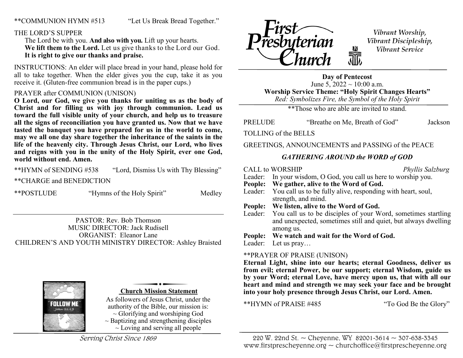# \*\*COMMUNION HYMN #513 "Let Us Break Bread Together."

# THE LORD'S SUPPER

 The Lord be with you. **And also with you.** Lift up your hearts.  **We lift them to the Lord.** Let us give thanks to the Lord our God.  **It is right to give our thanks and praise.**

INSTRUCTIONS: An elder will place bread in your hand, please hold for all to take together. When the elder gives you the cup, take it as you receive it. (Gluten-free communion bread is in the paper cups.)

# PRAYER after COMMUNION (UNISON)

**O Lord, our God, we give you thanks for uniting us as the body of Christ and for filling us with joy through communion. Lead us toward the full visible unity of your church, and help us to treasure all the signs of reconciliation you have granted us. Now that we have tasted the banquet you have prepared for us in the world to come, may we all one day share together the inheritance of the saints in the life of the heavenly city. Through Jesus Christ, our Lord, who lives and reigns with you in the unity of the Holy Spirit, ever one God, world without end. Amen.** 

\*\*HYMN of SENDING #538 "Lord, Dismiss Us with Thy Blessing"

\*\*CHARGE and BENEDICTION

\*\*POSTLUDE "Hymns of the Holy Spirit" Medley

PASTOR: Rev. Bob Thomson MUSIC DIRECTOR: Jack Rudisell ORGANIST: Eleanor Lane CHILDREN'S AND YOUTH MINISTRY DIRECTOR: Ashley Braisted



#### **Church Mission Statement**

As followers of Jesus Christ, under the authority of the Bible, our mission is:  $\sim$  Glorifying and worshiping God  $\sim$  Baptizing and strengthening disciples  $\sim$  Loving and serving all people

Serving Christ Since 1869



Vibrant Worship, Vibrant Discipleship, Vibrant Service

**Day of Pentecost** June 5,  $2022 \sim 10:00$  a.m. **Worship Service Theme: "Holy Spirit Changes Hearts"** *Red: Symbolizes Fire, the Symbol of the Holy Spirit*

\*\*Those who are able are invited to stand.

PRELUDE "Breathe on Me, Breath of God" Jackson

TOLLING of the BELLS

GREETINGS, ANNOUNCEMENTS and PASSING of the PEACE

# *GATHERING AROUND the WORD of GOD*

|                 |         | <b>CALL to WORSHIP</b>                                                                                                                  | Phyllis Salzburg |  |  |
|-----------------|---------|-----------------------------------------------------------------------------------------------------------------------------------------|------------------|--|--|
|                 |         | Leader: In your wisdom, O God, you call us here to worship you.                                                                         |                  |  |  |
|                 |         | People: We gather, alive to the Word of God.                                                                                            |                  |  |  |
|                 |         | Leader: You call us to be fully alive, responding with heart, soul,                                                                     |                  |  |  |
|                 |         | strength, and mind.                                                                                                                     |                  |  |  |
|                 |         | People: We listen, alive to the Word of God.                                                                                            |                  |  |  |
|                 |         | Leader: You call us to be disciples of your Word, sometimes startling<br>and unexpected, sometimes still and quiet, but always dwelling |                  |  |  |
|                 |         | among us.                                                                                                                               |                  |  |  |
|                 |         | People: We watch and wait for the Word of God.                                                                                          |                  |  |  |
|                 | Leader: | Let us $\text{pray} \dots$                                                                                                              |                  |  |  |
| $$ $\mathbf{A}$ |         |                                                                                                                                         |                  |  |  |

#### \*\*PRAYER OF PRAISE (UNISON)

**Eternal Light, shine into our hearts; eternal Goodness, deliver us from evil; eternal Power, be our support; eternal Wisdom, guide us by your Word; eternal Love, have mercy upon us, that with all our heart and mind and strength we may seek your face and be brought into your holy presence through Jesus Christ, our Lord. Amen.**

\*\*HYMN of PRAISE #485 "To God Be the Glory"

220 W. 22nd St. ~ Cheyenne, WY 82001-3614 ~ 307-638-3345 www.firstprescheyenne.org  $\sim$  churchoffice@firstprescheyenne.org